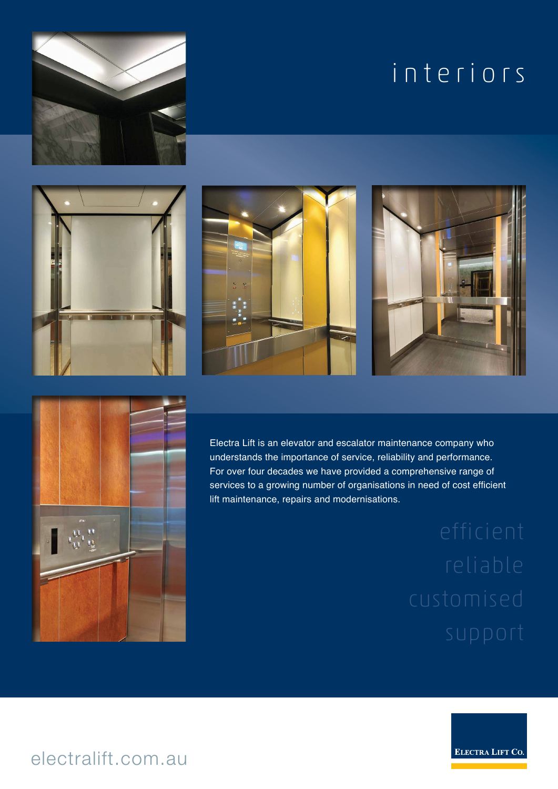# interiors











Electra Lift is an elevator and escalator maintenance company who understands the importance of service, reliability and performance. For over four decades we have provided a comprehensive range of services to a growing number of organisations in need of cost efficient lift maintenance, repairs and modernisations.



electralift.com.au